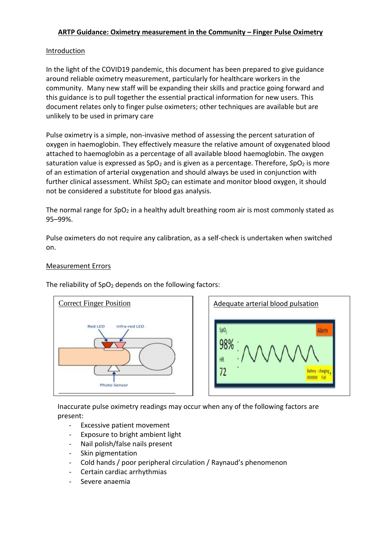# **ARTP Guidance: Oximetry measurement in the Community – Finger Pulse Oximetry**

## Introduction

In the light of the COVID19 pandemic, this document has been prepared to give guidance around reliable oximetry measurement, particularly for healthcare workers in the community. Many new staff will be expanding their skills and practice going forward and this guidance is to pull together the essential practical information for new users. This document relates only to finger pulse oximeters; other techniques are available but are unlikely to be used in primary care

Pulse oximetry is a simple, non-invasive method of assessing the percent saturation of oxygen in haemoglobin. They effectively measure the relative amount of oxygenated blood attached to haemoglobin as a percentage of all available blood haemoglobin. The oxygen saturation value is expressed as SpO<sub>2</sub> and is given as a percentage. Therefore, *SpO*<sub>2</sub> is more of an estimation of arterial oxygenation and should always be used in conjunction with further clinical assessment. Whilst SpO<sub>2</sub> can estimate and monitor blood oxygen, it should not be considered a substitute for blood gas analysis.

The normal range for SpO<sub>2</sub> in a healthy adult breathing room air is most commonly stated as 95–99%.

Pulse oximeters do not require any calibration, as a self-check is undertaken when switched on.

## Measurement Errors



The reliability of  $SpO<sub>2</sub>$  depends on the following factors:

SpO<sub>2</sub> larm 98% Fol

Inaccurate pulse oximetry readings may occur when any of the following factors are present:

- Excessive patient movement
- Exposure to bright ambient light
- Nail polish/false nails present
- Skin pigmentation
- Cold hands / poor peripheral circulation / Raynaud's phenomenon
- Certain cardiac arrhythmias
- Severe anaemia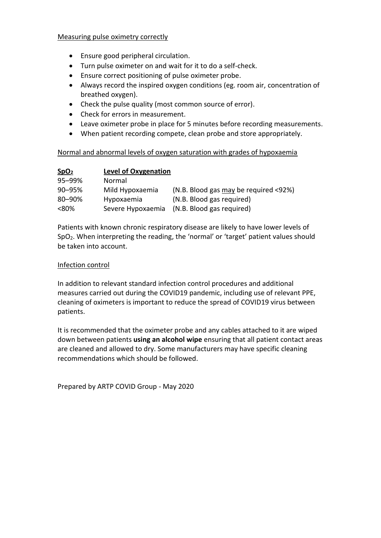### Measuring pulse oximetry correctly

- Ensure good peripheral circulation.
- Turn pulse oximeter on and wait for it to do a self-check.
- Ensure correct positioning of pulse oximeter probe.
- Always record the inspired oxygen conditions (eg. room air, concentration of breathed oxygen).
- Check the pulse quality (most common source of error).
- Check for errors in measurement.
- Leave oximeter probe in place for 5 minutes before recording measurements.
- When patient recording compete, clean probe and store appropriately.

### Normal and abnormal levels of oxygen saturation with grades of hypoxaemia

| SpO <sub>2</sub> | <b>Level of Oxygenation</b> |                                       |
|------------------|-----------------------------|---------------------------------------|
| 95-99%           | Normal                      |                                       |
| 90-95%           | Mild Hypoxaemia             | (N.B. Blood gas may be required <92%) |
| 80–90%           | Hypoxaemia                  | (N.B. Blood gas required)             |
| <80%             | Severe Hypoxaemia           | (N.B. Blood gas required)             |

Patients with known chronic respiratory disease are likely to have lower levels of SpO2. When interpreting the reading, the 'normal' or 'target' patient values should be taken into account.

#### Infection control

In addition to relevant standard infection control procedures and additional measures carried out during the COVID19 pandemic, including use of relevant PPE, cleaning of oximeters is important to reduce the spread of COVID19 virus between patients.

It is recommended that the oximeter probe and any cables attached to it are wiped down between patients **using an alcohol wipe** ensuring that all patient contact areas are cleaned and allowed to dry. Some manufacturers may have specific cleaning recommendations which should be followed.

Prepared by ARTP COVID Group - May 2020